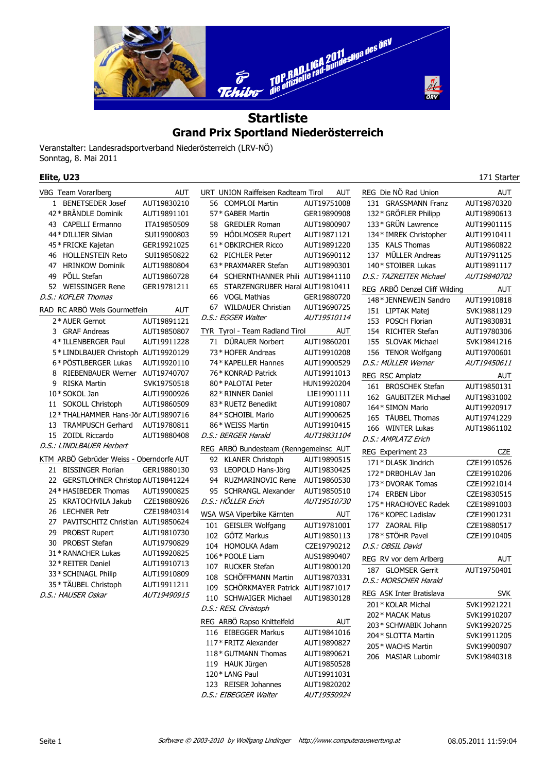

## **Grand Prix Sportland Niederösterreich**

Veranstalter: Landesradsportverband Niederösterreich (LRV-NÖ) Sonntag, 8. Mai 2011

| Elite, U23                               |             |                                       |             |                                        | 171 Starter  |
|------------------------------------------|-------------|---------------------------------------|-------------|----------------------------------------|--------------|
| VBG Team Vorarlberg                      | AUT         | URT UNION Raiffeisen Radteam Tirol    | AUT         | REG Die NÖ Rad Union                   | AUT          |
| 1 BENETSEDER Josef                       | AUT19830210 | 56 COMPLOI Martin                     | AUT19751008 | 131 GRASSMANN Franz                    | AUT19870320  |
| 42 * BRÄNDLE Dominik                     | AUT19891101 | 57* GABER Martin                      | GER19890908 | 132 * GRÖFLER Philipp                  | AUT19890613  |
| 43 CAPELLI Ermanno                       | ITA19850509 | 58 GREDLER Roman                      | AUT19800907 | 133 * GRÜN Lawrence                    | AUT19901115  |
| 44 * DILLIER Silvian                     | SUI19900803 | 59 HÖDLMOSER Rupert                   | AUT19871121 | 134* IMREK Christopher                 | AUT19910411  |
| 45 * FRICKE Kajetan                      | GER19921025 | 61* OBKIRCHER Ricco                   | AUT19891220 | 135 KALS Thomas                        | AUT19860822  |
| 46 HOLLENSTEIN Reto                      | SUI19850822 | 62 PICHLER Peter                      | AUT19690112 | 137 MÜLLER Andreas                     | AUT19791125  |
| 47 HRINKOW Dominik                       | AUT19880804 | 63* PRAXMARER Stefan                  | AUT19890301 | 140* STOIBER Lukas                     | AUT19891117  |
| PÖLL Stefan<br>49                        | AUT19860728 | 64 SCHERNTHANNER Phili AUT19841110    |             | D.S.: TAZREITER Michael                | AUT19840702  |
| 52 WEISSINGER Rene                       | GER19781211 | STARZENGRUBER Haral AUT19810411<br>65 |             | REG ARBÖ Denzel Cliff Wilding          | <b>AUT</b>   |
| D.S.: KOFLER Thomas                      |             | 66 VOGL Mathias                       | GER19880720 | 148* JENNEWEIN Sandro                  | AUT19910818  |
| RAD RC ARBÖ Wels Gourmetfein             | AUT         | 67 WILDAUER Christian                 | AUT19690725 | 151 LIPTAK Matej                       | SVK19881129  |
| 2* AUER Gernot                           | AUT19891121 | D.S.: EGGER Walter                    | AUT19510114 | 153 POSCH Florian                      | AUT19830831  |
| 3 GRAF Andreas                           | AUT19850807 | TYR Tyrol - Team Radland Tirol        | AUT         | 154 RICHTER Stefan                     | AUT19780306  |
| 4* ILLENBERGER Paul                      | AUT19911228 | 71 DÜRAUER Norbert                    | AUT19860201 | 155 SLOVAK Michael                     | SVK19841216  |
| 5* LINDLBAUER Christoph AUT19920129      |             | 73 * HOFER Andreas                    | AUT19910208 | 156 TENOR Wolfgang                     | AUT19700601  |
| 6* PÖSTLBERGER Lukas                     | AUT19920110 | 74 * KAPELLER Hannes                  | AUT19900529 | D.S.: MÜLLER Werner                    | AUT19450611  |
| RIEBENBAUER Werner AUT19740707<br>8      |             | 76* KONRAD Patrick                    | AUT19911013 | REG RSC Amplatz                        | <b>AUT</b>   |
| RISKA Martin<br>9                        | SVK19750518 | 80* PALOTAI Peter                     | HUN19920204 | 161 BROSCHEK Stefan                    | AUT19850131  |
| 10 * SOKOL Jan                           | AUT19900926 | 82 * RINNER Daniel                    | LIE19901111 | 162 GAUBITZER Michael                  | AUT19831002  |
| 11 SOKOLL Christoph                      | AUT19860509 | 83 * RUETZ Benedikt                   | AUT19910807 | 164 * SIMON Mario                      | AUT19920917  |
| 12* THALHAMMER Hans-Jör AUT19890716      |             | 84* SCHOIBL Mario                     | AUT19900625 | 165 TÄUBEL Thomas                      | AUT19741229  |
| 13 TRAMPUSCH Gerhard                     | AUT19780811 | 86* WEISS Martin                      | AUT19910415 | 166 WINTER Lukas                       | AUT19861102  |
| 15 ZOIDL Riccardo                        | AUT19880408 | D.S.: BERGER Harald                   | AUT19831104 | D.S.: AMPLATZ Erich                    |              |
| D.S.: LINDLBAUER Herbert                 |             | REG ARBÖ Bundesteam (Renngemeinsc AUT |             | REG Experiment 23                      | <b>CZE</b>   |
| KTM ARBÖ Gebrüder Weiss - Oberndorfe AUT |             | 92 KLANER Christoph                   | AUT19890515 | 171* DLASK Jindrich                    | CZE19910526  |
| 21 BISSINGER Florian                     | GER19880130 | 93 LEOPOLD Hans-Jörg                  | AUT19830425 | 172* DRBOHLAV Jan                      | CZE19910206  |
| 22 GERSTLOHNER Christop AUT19841224      |             | <b>RUZMARINOVIC Rene</b><br>94        | AUT19860530 | 173* DVORAK Tomas                      | CZE19921014  |
| 24 * HASIBEDER Thomas                    | AUT19900825 | 95 SCHRANGL Alexander                 | AUT19850510 | 174 ERBEN Libor                        | CZE19830515  |
| KRATOCHVILA Jakub<br>25                  | CZE19880926 | D.S.: HÖLLER Erich                    | AUT19510730 | 175* HRACHOVEC Radek                   | CZE19891003  |
| 26 LECHNER Petr                          | CZE19840314 | WSA WSA Viperbike Kärnten             | AUT         | 176 * KOPEC Ladislav                   | CZE19901231  |
| 27<br>PAVITSCHITZ Christian AUT19850624  |             | 101 GEISLER Wolfgang                  | AUT19781001 | 177 ZAORAL Filip                       | CZE19880517  |
| 29<br>PROBST Rupert                      | AUT19810730 | 102 GÖTZ Markus                       | AUT19850113 | 178* STÖHR Pavel                       | CZE19910405  |
| 30<br>PROBST Stefan                      | AUT19790829 | 104 HOMOLKA Adam                      | CZE19790212 | D.S.: OBSIL David                      |              |
| 31 * RANACHER Lukas                      | AUT19920825 | 106* POOLE Liam                       | AUS19890407 |                                        |              |
| 32 * REITER Daniel                       | AUT19910713 | 107 RUCKER Stefan                     | AUT19800120 | REG RV vor dem Arlberg                 | AUT          |
| 33 * SCHINAGL Philip                     | AUT19910809 | 108 SCHÖFFMANN Martin                 | AUT19870331 | 187 GLOMSER Gerrit                     | AUT19750401  |
| 35 * TÄUBEL Christoph                    | AUT19911211 | 109 SCHÖRKMAYER Patrick AUT19871017   |             | D.S.: MORSCHER Harald                  |              |
| D.S.: HAUSER Oskar                       | AUT19490915 | 110 SCHWAIGER Michael                 | AUT19830128 | REG ASK Inter Bratislava               | <b>SVK</b>   |
|                                          |             | D.S.: RESL Christoph                  |             | 201* KOLAR Michal                      | SVK19921221  |
|                                          |             | REG ARBÖ Rapso Knittelfeld            |             | 202* MACAK Matus                       | SVK19910207  |
|                                          |             |                                       | AUT         | 203* SCHWABIK Johann                   | SVK19920725  |
|                                          |             | 116 EIBEGGER Markus                   | AUT19841016 | $204 \times C1$ $\triangle TTA$ Martin | CYIV1001120E |

117\* FRITZ Alexander AUT19890827 118\* GUTMANN Thomas AUT19890621 119 HAUK Jürgen AUT19850528 120\* LANG Paul AUT19911031 123 REISER Johannes AUT19820202 D.S.: EIBEGGER Walter AUT19550924

204\* SLOTTA Martin SVK19911205 205\* WACHS Martin SVK19900907 206 MASIAR Lubomir SVK19840318